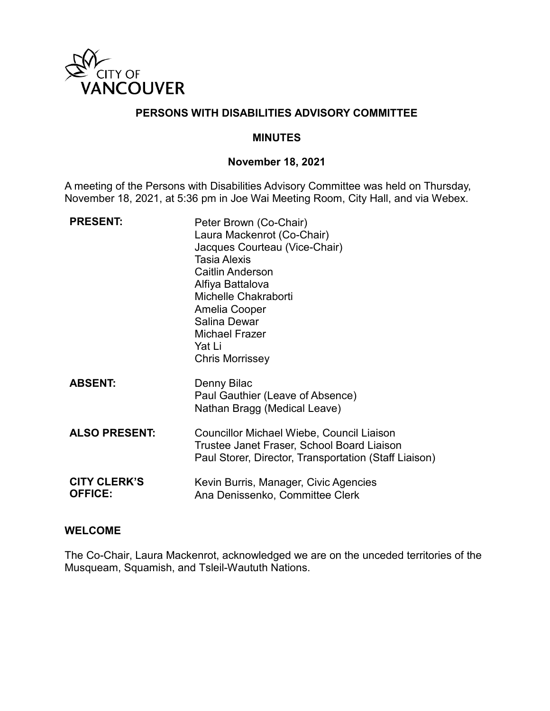

# **PERSONS WITH DISABILITIES ADVISORY COMMITTEE**

### **MINUTES**

### **November 18, 2021**

A meeting of the Persons with Disabilities Advisory Committee was held on Thursday, November 18, 2021, at 5:36 pm in Joe Wai Meeting Room, City Hall, and via Webex.

| <b>PRESENT:</b>                       | Peter Brown (Co-Chair)<br>Laura Mackenrot (Co-Chair)<br>Jacques Courteau (Vice-Chair)<br><b>Tasia Alexis</b><br><b>Caitlin Anderson</b><br>Alfiya Battalova<br>Michelle Chakraborti<br>Amelia Cooper<br>Salina Dewar<br><b>Michael Frazer</b><br>Yat Li<br><b>Chris Morrissey</b> |
|---------------------------------------|-----------------------------------------------------------------------------------------------------------------------------------------------------------------------------------------------------------------------------------------------------------------------------------|
| <b>ABSENT:</b>                        | Denny Bilac<br>Paul Gauthier (Leave of Absence)<br>Nathan Bragg (Medical Leave)                                                                                                                                                                                                   |
| <b>ALSO PRESENT:</b>                  | Councillor Michael Wiebe, Council Liaison<br>Trustee Janet Fraser, School Board Liaison<br>Paul Storer, Director, Transportation (Staff Liaison)                                                                                                                                  |
| <b>CITY CLERK'S</b><br><b>OFFICE:</b> | Kevin Burris, Manager, Civic Agencies<br>Ana Denissenko, Committee Clerk                                                                                                                                                                                                          |

#### **WELCOME**

The Co-Chair, Laura Mackenrot, acknowledged we are on the unceded territories of the Musqueam, Squamish, and Tsleil-Waututh Nations.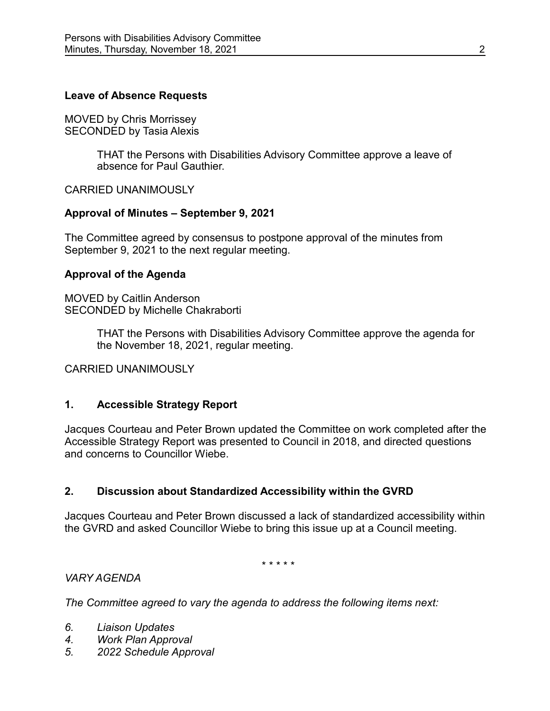# **Leave of Absence Requests**

MOVED by Chris Morrissey SECONDED by Tasia Alexis

> THAT the Persons with Disabilities Advisory Committee approve a leave of absence for Paul Gauthier.

CARRIED UNANIMOUSLY

# **Approval of Minutes – September 9, 2021**

The Committee agreed by consensus to postpone approval of the minutes from September 9, 2021 to the next regular meeting.

### **Approval of the Agenda**

MOVED by Caitlin Anderson SECONDED by Michelle Chakraborti

> THAT the Persons with Disabilities Advisory Committee approve the agenda for the November 18, 2021, regular meeting.

CARRIED UNANIMOUSLY

# **1. Accessible Strategy Report**

Jacques Courteau and Peter Brown updated the Committee on work completed after the Accessible Strategy Report was presented to Council in 2018, and directed questions and concerns to Councillor Wiebe.

# **2. Discussion about Standardized Accessibility within the GVRD**

Jacques Courteau and Peter Brown discussed a lack of standardized accessibility within the GVRD and asked Councillor Wiebe to bring this issue up at a Council meeting.

\* \* \* \* \*

# *VARY AGENDA*

*The Committee agreed to vary the agenda to address the following items next:*

- *6. Liaison Updates*
- *4. Work Plan Approval*
- *5. 2022 Schedule Approval*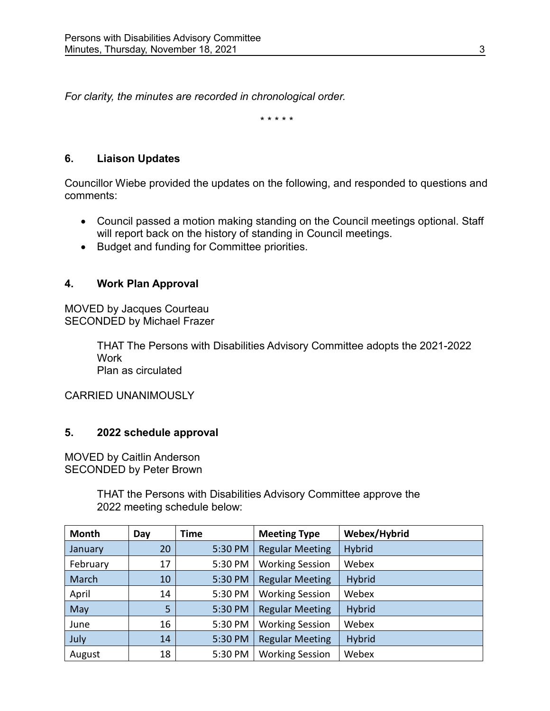*For clarity, the minutes are recorded in chronological order.*

\* \* \* \* \*

# **6. Liaison Updates**

Councillor Wiebe provided the updates on the following, and responded to questions and comments:

- Council passed a motion making standing on the Council meetings optional. Staff will report back on the history of standing in Council meetings.
- Budget and funding for Committee priorities.

# **4. Work Plan Approval**

MOVED by Jacques Courteau SECONDED by Michael Frazer

> THAT The Persons with Disabilities Advisory Committee adopts the 2021-2022 Work Plan as circulated

CARRIED UNANIMOUSLY

# **5. 2022 schedule approval**

MOVED by Caitlin Anderson SECONDED by Peter Brown

> THAT the Persons with Disabilities Advisory Committee approve the 2022 meeting schedule below:

| Month    | Day | <b>Time</b> | <b>Meeting Type</b>    | Webex/Hybrid  |
|----------|-----|-------------|------------------------|---------------|
| January  | 20  | 5:30 PM     | <b>Regular Meeting</b> | <b>Hybrid</b> |
| February | 17  | 5:30 PM     | <b>Working Session</b> | Webex         |
| March    | 10  | 5:30 PM     | <b>Regular Meeting</b> | <b>Hybrid</b> |
| April    | 14  | 5:30 PM     | <b>Working Session</b> | Webex         |
| May      | 5   | 5:30 PM     | <b>Regular Meeting</b> | <b>Hybrid</b> |
| June     | 16  | 5:30 PM     | <b>Working Session</b> | Webex         |
| July     | 14  | 5:30 PM     | <b>Regular Meeting</b> | <b>Hybrid</b> |
| August   | 18  | 5:30 PM     | <b>Working Session</b> | Webex         |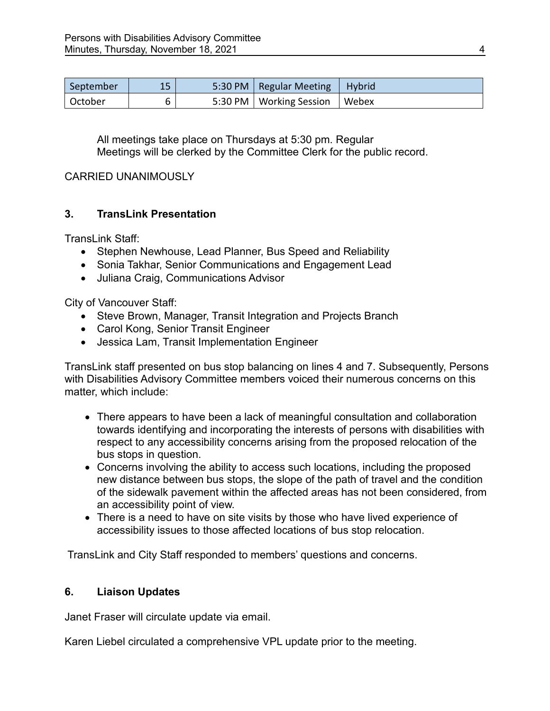| September | 15 | 5:30 PM   Regular Meeting | Hybrid       |
|-----------|----|---------------------------|--------------|
| October   |    | 5:30 PM   Working Session | <b>Webex</b> |

All meetings take place on Thursdays at 5:30 pm. Regular Meetings will be clerked by the Committee Clerk for the public record.

### CARRIED UNANIMOUSLY

# **3. TransLink Presentation**

TransLink Staff:

- Stephen Newhouse, Lead Planner, Bus Speed and Reliability
- Sonia Takhar, Senior Communications and Engagement Lead
- Juliana Craig, Communications Advisor

City of Vancouver Staff:

- Steve Brown, Manager, Transit Integration and Projects Branch
- Carol Kong, Senior Transit Engineer
- Jessica Lam, Transit Implementation Engineer

TransLink staff presented on bus stop balancing on lines 4 and 7. Subsequently, Persons with Disabilities Advisory Committee members voiced their numerous concerns on this matter, which include:

- There appears to have been a lack of meaningful consultation and collaboration towards identifying and incorporating the interests of persons with disabilities with respect to any accessibility concerns arising from the proposed relocation of the bus stops in question.
- Concerns involving the ability to access such locations, including the proposed new distance between bus stops, the slope of the path of travel and the condition of the sidewalk pavement within the affected areas has not been considered, from an accessibility point of view.
- There is a need to have on site visits by those who have lived experience of accessibility issues to those affected locations of bus stop relocation.

TransLink and City Staff responded to members' questions and concerns.

# **6. Liaison Updates**

Janet Fraser will circulate update via email.

Karen Liebel circulated a comprehensive VPL update prior to the meeting.